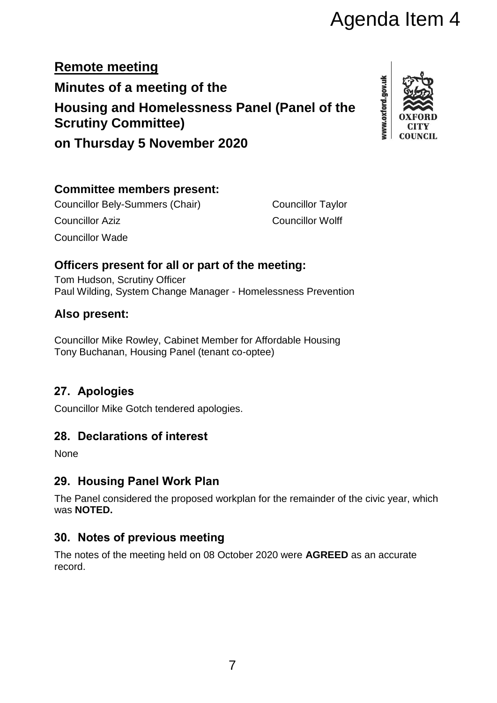# Agenda Item 4

**Remote meeting Minutes of a meeting of the Housing and Homelessness Panel (Panel of the Scrutiny Committee)**

www.oxford.gov.uk

**on Thursday 5 November 2020**

#### **Committee members present:**

Councillor Bely-Summers (Chair) Councillor Taylor Councillor Aziz Councillor Wolff Councillor Wade

#### **Officers present for all or part of the meeting:**

Tom Hudson, Scrutiny Officer Paul Wilding, System Change Manager - Homelessness Prevention

#### **Also present:**

Councillor Mike Rowley, Cabinet Member for Affordable Housing Tony Buchanan, Housing Panel (tenant co-optee)

# **27. Apologies**

Councillor Mike Gotch tendered apologies.

## **28. Declarations of interest**

**None** 

## **29. Housing Panel Work Plan**

The Panel considered the proposed workplan for the remainder of the civic year, which was **NOTED.** 

## **30. Notes of previous meeting**

The notes of the meeting held on 08 October 2020 were **AGREED** as an accurate record.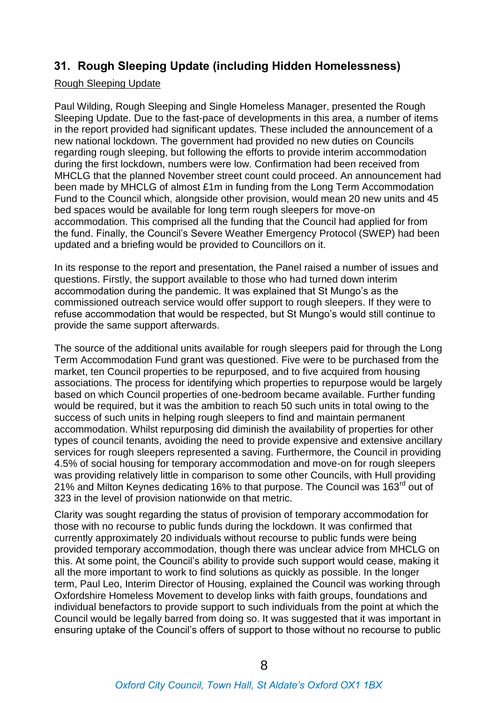#### **31. Rough Sleeping Update (including Hidden Homelessness)**

#### Rough Sleeping Update

Paul Wilding, Rough Sleeping and Single Homeless Manager, presented the Rough Sleeping Update. Due to the fast-pace of developments in this area, a number of items in the report provided had significant updates. These included the announcement of a new national lockdown. The government had provided no new duties on Councils regarding rough sleeping, but following the efforts to provide interim accommodation during the first lockdown, numbers were low. Confirmation had been received from MHCLG that the planned November street count could proceed. An announcement had been made by MHCLG of almost £1m in funding from the Long Term Accommodation Fund to the Council which, alongside other provision, would mean 20 new units and 45 bed spaces would be available for long term rough sleepers for move-on accommodation. This comprised all the funding that the Council had applied for from the fund. Finally, the Council's Severe Weather Emergency Protocol (SWEP) had been updated and a briefing would be provided to Councillors on it.

In its response to the report and presentation, the Panel raised a number of issues and questions. Firstly, the support available to those who had turned down interim accommodation during the pandemic. It was explained that St Mungo's as the commissioned outreach service would offer support to rough sleepers. If they were to refuse accommodation that would be respected, but St Mungo's would still continue to provide the same support afterwards.

The source of the additional units available for rough sleepers paid for through the Long Term Accommodation Fund grant was questioned. Five were to be purchased from the market, ten Council properties to be repurposed, and to five acquired from housing associations. The process for identifying which properties to repurpose would be largely based on which Council properties of one-bedroom became available. Further funding would be required, but it was the ambition to reach 50 such units in total owing to the success of such units in helping rough sleepers to find and maintain permanent accommodation. Whilst repurposing did diminish the availability of properties for other types of council tenants, avoiding the need to provide expensive and extensive ancillary services for rough sleepers represented a saving. Furthermore, the Council in providing 4.5% of social housing for temporary accommodation and move-on for rough sleepers was providing relatively little in comparison to some other Councils, with Hull providing 21% and Milton Keynes dedicating 16% to that purpose. The Council was 163<sup>rd</sup> out of 323 in the level of provision nationwide on that metric.

Clarity was sought regarding the status of provision of temporary accommodation for those with no recourse to public funds during the lockdown. It was confirmed that currently approximately 20 individuals without recourse to public funds were being provided temporary accommodation, though there was unclear advice from MHCLG on this. At some point, the Council's ability to provide such support would cease, making it all the more important to work to find solutions as quickly as possible. In the longer term, Paul Leo, Interim Director of Housing, explained the Council was working through Oxfordshire Homeless Movement to develop links with faith groups, foundations and individual benefactors to provide support to such individuals from the point at which the Council would be legally barred from doing so. It was suggested that it was important in ensuring uptake of the Council's offers of support to those without no recourse to public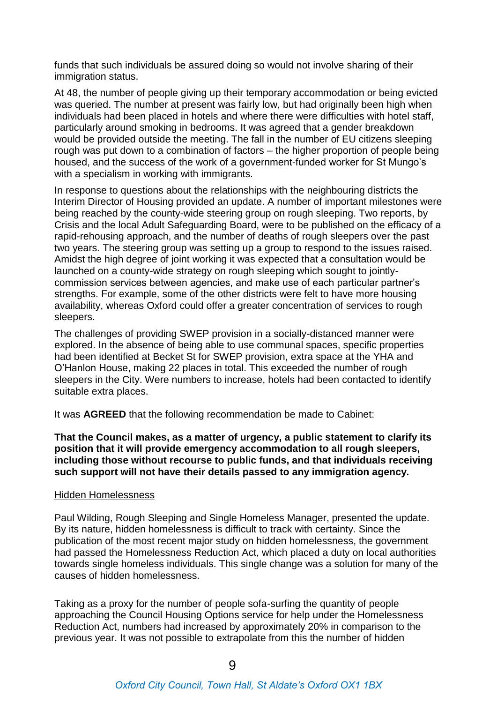funds that such individuals be assured doing so would not involve sharing of their immigration status.

At 48, the number of people giving up their temporary accommodation or being evicted was queried. The number at present was fairly low, but had originally been high when individuals had been placed in hotels and where there were difficulties with hotel staff, particularly around smoking in bedrooms. It was agreed that a gender breakdown would be provided outside the meeting. The fall in the number of EU citizens sleeping rough was put down to a combination of factors – the higher proportion of people being housed, and the success of the work of a government-funded worker for St Mungo's with a specialism in working with immigrants.

In response to questions about the relationships with the neighbouring districts the Interim Director of Housing provided an update. A number of important milestones were being reached by the county-wide steering group on rough sleeping. Two reports, by Crisis and the local Adult Safeguarding Board, were to be published on the efficacy of a rapid-rehousing approach, and the number of deaths of rough sleepers over the past two years. The steering group was setting up a group to respond to the issues raised. Amidst the high degree of joint working it was expected that a consultation would be launched on a county-wide strategy on rough sleeping which sought to jointlycommission services between agencies, and make use of each particular partner's strengths. For example, some of the other districts were felt to have more housing availability, whereas Oxford could offer a greater concentration of services to rough sleepers.

The challenges of providing SWEP provision in a socially-distanced manner were explored. In the absence of being able to use communal spaces, specific properties had been identified at Becket St for SWEP provision, extra space at the YHA and O'Hanlon House, making 22 places in total. This exceeded the number of rough sleepers in the City. Were numbers to increase, hotels had been contacted to identify suitable extra places.

It was **AGREED** that the following recommendation be made to Cabinet:

**That the Council makes, as a matter of urgency, a public statement to clarify its position that it will provide emergency accommodation to all rough sleepers, including those without recourse to public funds, and that individuals receiving such support will not have their details passed to any immigration agency.**

#### Hidden Homelessness

Paul Wilding, Rough Sleeping and Single Homeless Manager, presented the update. By its nature, hidden homelessness is difficult to track with certainty. Since the publication of the most recent major study on hidden homelessness, the government had passed the Homelessness Reduction Act, which placed a duty on local authorities towards single homeless individuals. This single change was a solution for many of the causes of hidden homelessness.

Taking as a proxy for the number of people sofa-surfing the quantity of people approaching the Council Housing Options service for help under the Homelessness Reduction Act, numbers had increased by approximately 20% in comparison to the previous year. It was not possible to extrapolate from this the number of hidden